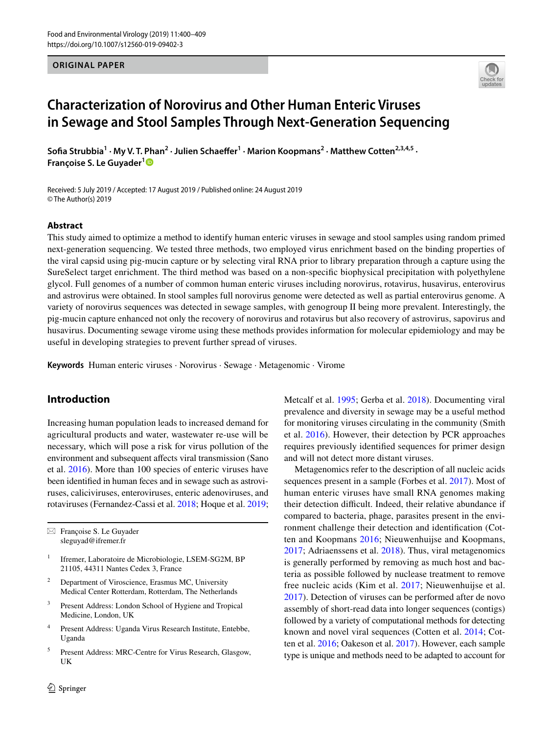## **ORIGINAL PAPER**



# **Characterization of Norovirus and Other Human Enteric Viruses in Sewage and Stool Samples Through Next‑Generation Sequencing**

Sofia Strubbia<sup>1</sup> · My V. T. Phan<sup>2</sup> · Julien Schaeffer<sup>1</sup> · Marion Koopmans<sup>2</sup> · Matthew Cotten<sup>2,3,4,5</sup> · **Françoise S. Le Guyader[1](http://orcid.org/0000-0001-5821-8959)**

Received: 5 July 2019 / Accepted: 17 August 2019 / Published online: 24 August 2019 © The Author(s) 2019

#### **Abstract**

This study aimed to optimize a method to identify human enteric viruses in sewage and stool samples using random primed next-generation sequencing. We tested three methods, two employed virus enrichment based on the binding properties of the viral capsid using pig-mucin capture or by selecting viral RNA prior to library preparation through a capture using the SureSelect target enrichment. The third method was based on a non-specifc biophysical precipitation with polyethylene glycol. Full genomes of a number of common human enteric viruses including norovirus, rotavirus, husavirus, enterovirus and astrovirus were obtained. In stool samples full norovirus genome were detected as well as partial enterovirus genome. A variety of norovirus sequences was detected in sewage samples, with genogroup II being more prevalent. Interestingly, the pig-mucin capture enhanced not only the recovery of norovirus and rotavirus but also recovery of astrovirus, sapovirus and husavirus. Documenting sewage virome using these methods provides information for molecular epidemiology and may be useful in developing strategies to prevent further spread of viruses.

**Keywords** Human enteric viruses · Norovirus · Sewage · Metagenomic · Virome

# **Introduction**

Increasing human population leads to increased demand for agricultural products and water, wastewater re-use will be necessary, which will pose a risk for virus pollution of the environment and subsequent affects viral transmission (Sano et al. [2016\)](#page-9-0). More than 100 species of enteric viruses have been identifed in human feces and in sewage such as astroviruses, caliciviruses, enteroviruses, enteric adenoviruses, and rotaviruses (Fernandez-Cassi et al. [2018](#page-8-0); Hoque et al. [2019](#page-8-1);

 $\boxtimes$  Françoise S. Le Guyader sleguyad@ifremer.fr

- <sup>1</sup> Ifremer, Laboratoire de Microbiologie, LSEM-SG2M, BP 21105, 44311 Nantes Cedex 3, France
- <sup>2</sup> Department of Viroscience, Erasmus MC, University Medical Center Rotterdam, Rotterdam, The Netherlands
- <sup>3</sup> Present Address: London School of Hygiene and Tropical Medicine, London, UK
- <sup>4</sup> Present Address: Uganda Virus Research Institute, Entebbe, Uganda
- Present Address: MRC-Centre for Virus Research, Glasgow, UK

Metcalf et al. [1995](#page-8-2); Gerba et al. [2018](#page-8-3)). Documenting viral prevalence and diversity in sewage may be a useful method for monitoring viruses circulating in the community (Smith et al. [2016\)](#page-9-1). However, their detection by PCR approaches requires previously identifed sequences for primer design and will not detect more distant viruses.

Metagenomics refer to the description of all nucleic acids sequences present in a sample (Forbes et al. [2017](#page-8-4)). Most of human enteric viruses have small RNA genomes making their detection difficult. Indeed, their relative abundance if compared to bacteria, phage, parasites present in the environment challenge their detection and identifcation (Cotten and Koopmans [2016](#page-8-5); Nieuwenhuijse and Koopmans, [2017](#page-9-2); Adriaenssens et al. [2018\)](#page-8-6). Thus, viral metagenomics is generally performed by removing as much host and bacteria as possible followed by nuclease treatment to remove free nucleic acids (Kim et al. [2017;](#page-8-7) Nieuwenhuijse et al. [2017](#page-9-2)). Detection of viruses can be performed after de novo assembly of short-read data into longer sequences (contigs) followed by a variety of computational methods for detecting known and novel viral sequences (Cotten et al. [2014;](#page-8-8) Cotten et al. [2016](#page-8-5); Oakeson et al. [2017\)](#page-9-3). However, each sample type is unique and methods need to be adapted to account for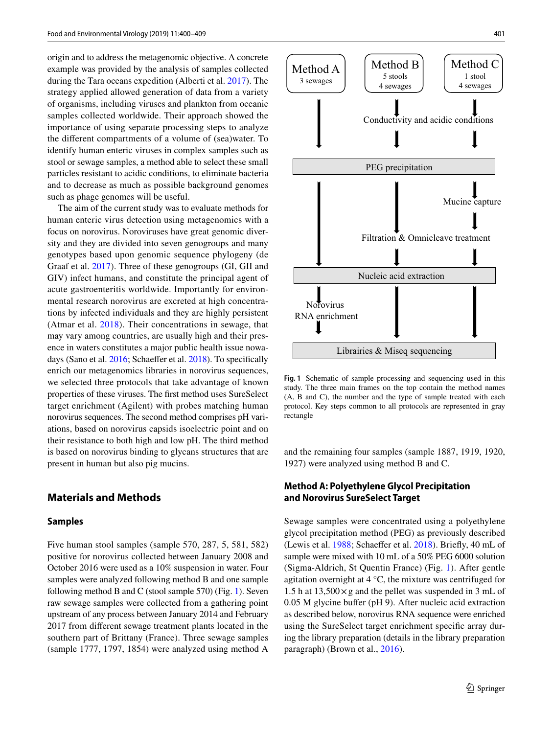origin and to address the metagenomic objective. A concrete example was provided by the analysis of samples collected during the Tara oceans expedition (Alberti et al. [2017](#page-8-9)). The strategy applied allowed generation of data from a variety of organisms, including viruses and plankton from oceanic samples collected worldwide. Their approach showed the importance of using separate processing steps to analyze the diferent compartments of a volume of (sea)water. To identify human enteric viruses in complex samples such as stool or sewage samples, a method able to select these small particles resistant to acidic conditions, to eliminate bacteria and to decrease as much as possible background genomes such as phage genomes will be useful.

The aim of the current study was to evaluate methods for human enteric virus detection using metagenomics with a focus on norovirus. Noroviruses have great genomic diversity and they are divided into seven genogroups and many genotypes based upon genomic sequence phylogeny (de Graaf et al. [2017](#page-8-10)). Three of these genogroups (GI, GII and GIV) infect humans, and constitute the principal agent of acute gastroenteritis worldwide. Importantly for environmental research norovirus are excreted at high concentrations by infected individuals and they are highly persistent (Atmar et al. [2018](#page-8-11)). Their concentrations in sewage, that may vary among countries, are usually high and their presence in waters constitutes a major public health issue nowa-days (Sano et al. [2016;](#page-9-0) Schaeffer et al. [2018](#page-9-4)). To specifically enrich our metagenomics libraries in norovirus sequences, we selected three protocols that take advantage of known properties of these viruses. The frst method uses SureSelect target enrichment (Agilent) with probes matching human norovirus sequences. The second method comprises pH variations, based on norovirus capsids isoelectric point and on their resistance to both high and low pH. The third method is based on norovirus binding to glycans structures that are present in human but also pig mucins.

## **Materials and Methods**

#### **Samples**

Five human stool samples (sample 570, 287, 5, 581, 582) positive for norovirus collected between January 2008 and October 2016 were used as a 10% suspension in water. Four samples were analyzed following method B and one sample following method B and C (stool sample 570) (Fig. [1\)](#page-1-0). Seven raw sewage samples were collected from a gathering point upstream of any process between January 2014 and February 2017 from diferent sewage treatment plants located in the southern part of Brittany (France). Three sewage samples (sample 1777, 1797, 1854) were analyzed using method A



<span id="page-1-0"></span>**Fig. 1** Schematic of sample processing and sequencing used in this study. The three main frames on the top contain the method names (A, B and C), the number and the type of sample treated with each protocol. Key steps common to all protocols are represented in gray rectangle

and the remaining four samples (sample 1887, 1919, 1920, 1927) were analyzed using method B and C.

## **Method A: Polyethylene Glycol Precipitation and Norovirus SureSelect Target**

Sewage samples were concentrated using a polyethylene glycol precipitation method (PEG) as previously described (Lewis et al. [1988](#page-8-12); Schaeffer et al. [2018](#page-9-4)). Briefly, 40 mL of sample were mixed with 10 mL of a 50% PEG 6000 solution (Sigma-Aldrich, St Quentin France) (Fig. [1\)](#page-1-0). After gentle agitation overnight at 4 °C, the mixture was centrifuged for 1.5 h at  $13,500 \times$  g and the pellet was suspended in 3 mL of 0.05 M glycine buffer (pH 9). After nucleic acid extraction as described below, norovirus RNA sequence were enriched using the SureSelect target enrichment specifc array during the library preparation (details in the library preparation paragraph) (Brown et al., [2016](#page-8-13)).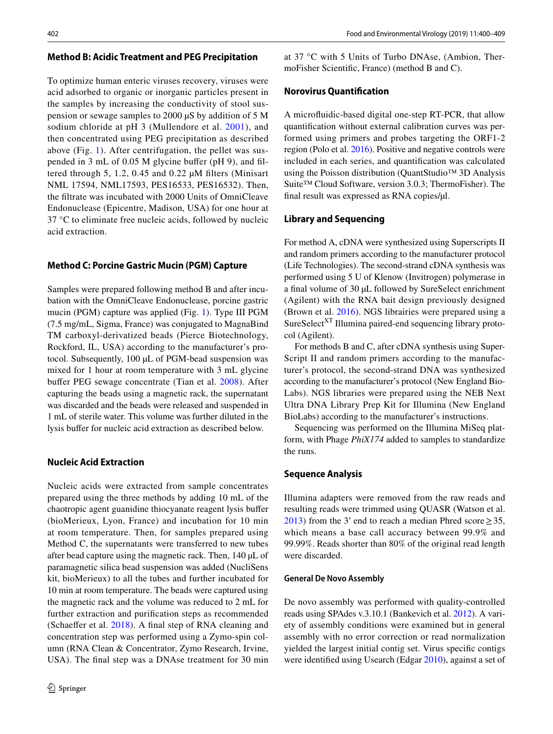#### **Method B: Acidic Treatment and PEG Precipitation**

To optimize human enteric viruses recovery, viruses were acid adsorbed to organic or inorganic particles present in the samples by increasing the conductivity of stool suspension or sewage samples to 2000 µS by addition of 5 M sodium chloride at pH 3 (Mullendore et al. [2001](#page-9-5)), and then concentrated using PEG precipitation as described above (Fig. [1](#page-1-0)). After centrifugation, the pellet was suspended in 3 mL of 0.05 M glycine bufer (pH 9), and fltered through 5, 1.2, 0.45 and 0.22 µM flters (Minisart NML 17594, NML17593, PES16533, PES16532). Then, the fltrate was incubated with 2000 Units of OmniCleave Endonuclease (Epicentre, Madison, USA) for one hour at 37 °C to eliminate free nucleic acids, followed by nucleic acid extraction.

## **Method C: Porcine Gastric Mucin (PGM) Capture**

Samples were prepared following method B and after incubation with the OmniCleave Endonuclease, porcine gastric mucin (PGM) capture was applied (Fig. [1](#page-1-0)). Type III PGM (7.5 mg/mL, Sigma, France) was conjugated to MagnaBind TM carboxyl-derivatized beads (Pierce Biotechnology, Rockford, IL, USA) according to the manufacturer's protocol. Subsequently, 100 µL of PGM-bead suspension was mixed for 1 hour at room temperature with 3 mL glycine buffer PEG sewage concentrate (Tian et al. [2008\)](#page-9-6). After capturing the beads using a magnetic rack, the supernatant was discarded and the beads were released and suspended in 1 mL of sterile water. This volume was further diluted in the lysis bufer for nucleic acid extraction as described below.

## **Nucleic Acid Extraction**

Nucleic acids were extracted from sample concentrates prepared using the three methods by adding 10 mL of the chaotropic agent guanidine thiocyanate reagent lysis bufer (bioMerieux, Lyon, France) and incubation for 10 min at room temperature. Then, for samples prepared using Method C, the supernatants were transferred to new tubes after bead capture using the magnetic rack. Then, 140 µL of paramagnetic silica bead suspension was added (NucliSens kit, bioMerieux) to all the tubes and further incubated for 10 min at room temperature. The beads were captured using the magnetic rack and the volume was reduced to 2 mL for further extraction and purifcation steps as recommended (Schaeffer et al. [2018](#page-9-4)). A final step of RNA cleaning and concentration step was performed using a Zymo-spin column (RNA Clean & Concentrator, Zymo Research, Irvine, USA). The fnal step was a DNAse treatment for 30 min at 37 °C with 5 Units of Turbo DNAse, (Ambion, ThermoFisher Scientifc, France) (method B and C).

## **Norovirus Quantifcation**

A microfuidic-based digital one-step RT-PCR, that allow quantifcation without external calibration curves was performed using primers and probes targeting the ORF1-2 region (Polo et al. [2016\)](#page-9-7). Positive and negative controls were included in each series, and quantifcation was calculated using the Poisson distribution (QuantStudio™ 3D Analysis Suite™ Cloud Software, version 3.0.3; ThermoFisher). The fnal result was expressed as RNA copies/µl.

#### **Library and Sequencing**

For method A, cDNA were synthesized using Superscripts II and random primers according to the manufacturer protocol (Life Technologies). The second-strand cDNA synthesis was performed using 5 U of Klenow (Invitrogen) polymerase in a fnal volume of 30 µL followed by SureSelect enrichment (Agilent) with the RNA bait design previously designed (Brown et al. [2016\)](#page-8-13). NGS librairies were prepared using a SureSelect<sup>XT</sup> Illumina paired-end sequencing library protocol (Agilent).

For methods B and C, after cDNA synthesis using Super-Script II and random primers according to the manufacturer's protocol, the second-strand DNA was synthesized according to the manufacturer's protocol (New England Bio-Labs). NGS libraries were prepared using the NEB Next Ultra DNA Library Prep Kit for Illumina (New England BioLabs) according to the manufacturer's instructions.

Sequencing was performed on the Illumina MiSeq platform, with Phage *PhiX174* added to samples to standardize the runs.

### **Sequence Analysis**

Illumina adapters were removed from the raw reads and resulting reads were trimmed using QUASR (Watson et al. [2013](#page-9-8)) from the 3' end to reach a median Phred score  $\geq$  35, which means a base call accuracy between 99.9% and 99.99%. Reads shorter than 80% of the original read length were discarded.

#### **General De Novo Assembly**

De novo assembly was performed with quality-controlled reads using SPAdes v.3.10.1 (Bankevich et al. [2012](#page-8-14)). A variety of assembly conditions were examined but in general assembly with no error correction or read normalization yielded the largest initial contig set. Virus specifc contigs were identifed using Usearch (Edgar [2010\)](#page-8-15), against a set of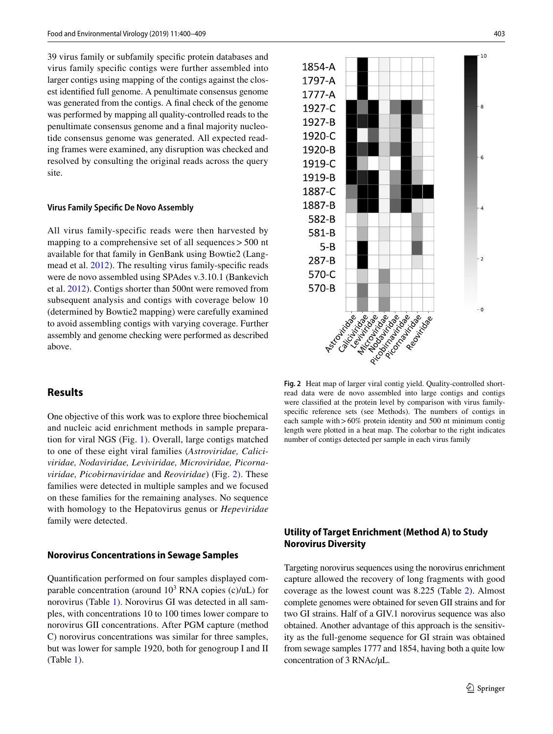39 virus family or subfamily specifc protein databases and virus family specifc contigs were further assembled into larger contigs using mapping of the contigs against the closest identifed full genome. A penultimate consensus genome was generated from the contigs. A fnal check of the genome was performed by mapping all quality-controlled reads to the penultimate consensus genome and a fnal majority nucleotide consensus genome was generated. All expected reading frames were examined, any disruption was checked and resolved by consulting the original reads across the query site.

#### **Virus Family Specifc De Novo Assembly**

All virus family-specific reads were then harvested by mapping to a comprehensive set of all sequences>500 nt available for that family in GenBank using Bowtie2 (Langmead et al. [2012\)](#page-8-16). The resulting virus family-specifc reads were de novo assembled using SPAdes v.3.10.1 (Bankevich et al. [2012\)](#page-8-14). Contigs shorter than 500nt were removed from subsequent analysis and contigs with coverage below 10 (determined by Bowtie2 mapping) were carefully examined to avoid assembling contigs with varying coverage. Further assembly and genome checking were performed as described above.

## **Results**

One objective of this work was to explore three biochemical and nucleic acid enrichment methods in sample preparation for viral NGS (Fig. [1\)](#page-1-0). Overall, large contigs matched to one of these eight viral families (*Astroviridae, Caliciviridae, Nodaviridae, Leviviridae, Microviridae, Picornaviridae, Picobirnaviridae* and *Reoviridae*) (Fig. [2\)](#page-3-0). These families were detected in multiple samples and we focused on these families for the remaining analyses. No sequence with homology to the Hepatovirus genus or *Hepeviridae* family were detected.

#### **Norovirus Concentrations in Sewage Samples**

Quantifcation performed on four samples displayed comparable concentration (around  $10^3$  RNA copies (c)/uL) for norovirus (Table [1](#page-4-0)). Norovirus GI was detected in all samples, with concentrations 10 to 100 times lower compare to norovirus GII concentrations. After PGM capture (method C) norovirus concentrations was similar for three samples, but was lower for sample 1920, both for genogroup I and II (Table [1\)](#page-4-0).



<span id="page-3-0"></span>**Fig. 2** Heat map of larger viral contig yield. Quality-controlled shortread data were de novo assembled into large contigs and contigs were classifed at the protein level by comparison with virus familyspecifc reference sets (see Methods). The numbers of contigs in each sample with > 60% protein identity and 500 nt minimum contig length were plotted in a heat map. The colorbar to the right indicates number of contigs detected per sample in each virus family

## **Utility of Target Enrichment (Method A) to Study Norovirus Diversity**

Targeting norovirus sequences using the norovirus enrichment capture allowed the recovery of long fragments with good coverage as the lowest count was 8.225 (Table [2\)](#page-4-1). Almost complete genomes were obtained for seven GII strains and for two GI strains. Half of a GIV.1 norovirus sequence was also obtained. Another advantage of this approach is the sensitivity as the full-genome sequence for GI strain was obtained from sewage samples 1777 and 1854, having both a quite low concentration of 3 RNAc/µL.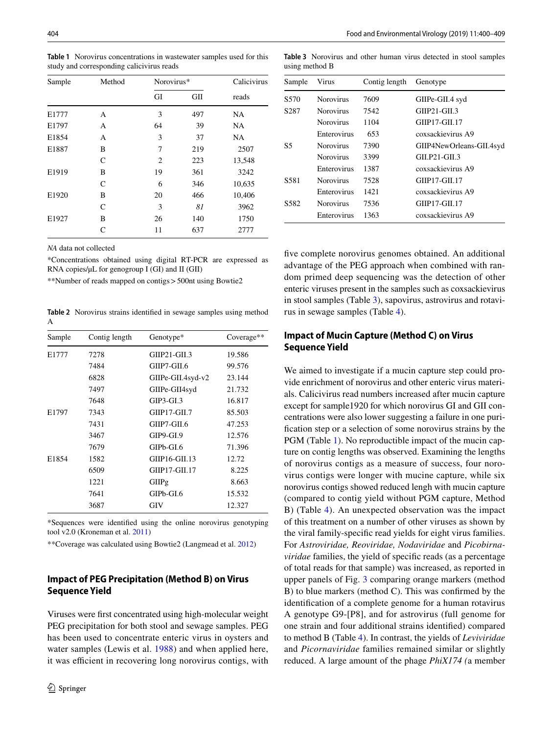| Sample | Method        | Norovirus*     |     | Calicivirus |
|--------|---------------|----------------|-----|-------------|
|        |               | GI             | GII | reads       |
| E1777  | А             | 3              | 497 | NA          |
| E1797  | А             | 64             | 39  | NA          |
| E1854  | А             | 3              | 37  | NA          |
| E1887  | B             | 7              | 219 | 2507        |
|        | C             | $\overline{2}$ | 223 | 13,548      |
| E1919  | В             | 19             | 361 | 3242        |
|        | $\mathcal{C}$ | 6              | 346 | 10,635      |
| E1920  | B             | 20             | 466 | 10,406      |
|        | C             | 3              | 81  | 3962        |
| E1927  | B             | 26             | 140 | 1750        |
|        | C             | 11             | 637 | 2777        |

<span id="page-4-0"></span>**Table 1** Norovirus concentrations in wastewater samples used for this study and corresponding calicivirus reads

*NA* data not collected

\*Concentrations obtained using digital RT-PCR are expressed as RNA copies/ $\mu$ L for genogroup I (GI) and II (GII)

\*\*Number of reads mapped on contigs>500nt using Bowtie2

<span id="page-4-1"></span>**Table 2** Norovirus strains identifed in sewage samples using method A

| Sample | Contig length | Genotype*         | Coverage** |
|--------|---------------|-------------------|------------|
| E1777  | 7278          | $GHIP21-GII.3$    | 19.586     |
|        | 7484          | GIIP7-GII.6       | 99.576     |
|        | 6828          | GIIPe-GII.4syd-v2 | 23.144     |
|        | 7497          | GIIPe-GII4syd     | 21.732     |
|        | 7648          | $GIP3-GI.3$       | 16.817     |
| E1797  | 7343          | GIIP17-GIL7       | 85.503     |
|        | 7431          | GIIP7-GIL6        | 47.253     |
|        | 3467          | GIP9-GI.9         | 12.576     |
|        | 7679          | $GIPb-GI.6$       | 71.396     |
| E1854  | 1582          | GIIP16-GII.13     | 12.72      |
|        | 6509          | GIIP17-GII.17     | 8.225      |
|        | 1221          | GIIPg             | 8.663      |
|        | 7641          | GIPb-GI.6         | 15.532     |
|        | 3687          | GIV               | 12.327     |

\*Sequences were identifed using the online norovirus genotyping tool v2.0 (Kroneman et al. [2011\)](#page-8-17)

\*\*Coverage was calculated using Bowtie2 (Langmead et al. [2012](#page-8-16))

## **Impact of PEG Precipitation (Method B) on Virus Sequence Yield**

Viruses were frst concentrated using high-molecular weight PEG precipitation for both stool and sewage samples. PEG has been used to concentrate enteric virus in oysters and water samples (Lewis et al. [1988\)](#page-8-12) and when applied here, it was efficient in recovering long norovirus contigs, with

<span id="page-4-2"></span>**Table 3** Norovirus and other human virus detected in stool samples using method B

| Sample | Virus            | Contig length | Genotype                 |
|--------|------------------|---------------|--------------------------|
| S570   | <b>Norovirus</b> | 7609          | GIIPe-GII.4 syd          |
| S287   | <b>Norovirus</b> | 7542          | $GIP21-GII.3$            |
|        | <b>Norovirus</b> | 1104          | GIIP17-GII.17            |
|        | Enterovirus      | 653           | coxsackievirus A9        |
| S5     | <b>Norovirus</b> | 7390          | GIIP4NewOrleans-GII.4syd |
|        | <b>Norovirus</b> | 3399          | $GIL$ P21-GIL3           |
|        | Enterovirus      | 1387          | coxsackievirus A9        |
| S581   | <b>Norovirus</b> | 7528          | GIIP17-GIL17             |
|        | Enterovirus      | 1421          | coxsackievirus A9        |
| S582.  | <b>Norovirus</b> | 7536          | GIIP17-GII.17            |
|        | Enterovirus      | 1363          | coxsackievirus A9        |

fve complete norovirus genomes obtained. An additional advantage of the PEG approach when combined with random primed deep sequencing was the detection of other enteric viruses present in the samples such as coxsackievirus in stool samples (Table [3\)](#page-4-2), sapovirus, astrovirus and rotavirus in sewage samples (Table [4](#page-5-0)).

## **Impact of Mucin Capture (Method C) on Virus Sequence Yield**

We aimed to investigate if a mucin capture step could provide enrichment of norovirus and other enteric virus materials. Calicivirus read numbers increased after mucin capture except for sample1920 for which norovirus GI and GII concentrations were also lower suggesting a failure in one purifcation step or a selection of some norovirus strains by the PGM (Table [1\)](#page-4-0). No reproductible impact of the mucin capture on contig lengths was observed. Examining the lengths of norovirus contigs as a measure of success, four norovirus contigs were longer with mucine capture, while six norovirus contigs showed reduced lengh with mucin capture (compared to contig yield without PGM capture, Method B) (Table [4\)](#page-5-0). An unexpected observation was the impact of this treatment on a number of other viruses as shown by the viral family-specifc read yields for eight virus families. For *Astroviridae, Reoviridae, Nodaviridae* and *Picobirnaviridae* families, the yield of specifc reads (as a percentage of total reads for that sample) was increased, as reported in upper panels of Fig. [3](#page-6-0) comparing orange markers (method B) to blue markers (method C). This was confrmed by the identifcation of a complete genome for a human rotavirus A genotype G9-[P8], and for astrovirus (full genome for one strain and four additional strains identifed) compared to method B (Table [4\)](#page-5-0). In contrast, the yields of *Leviviridae* and *Picornaviridae* families remained similar or slightly reduced. A large amount of the phage *PhiX174 (*a member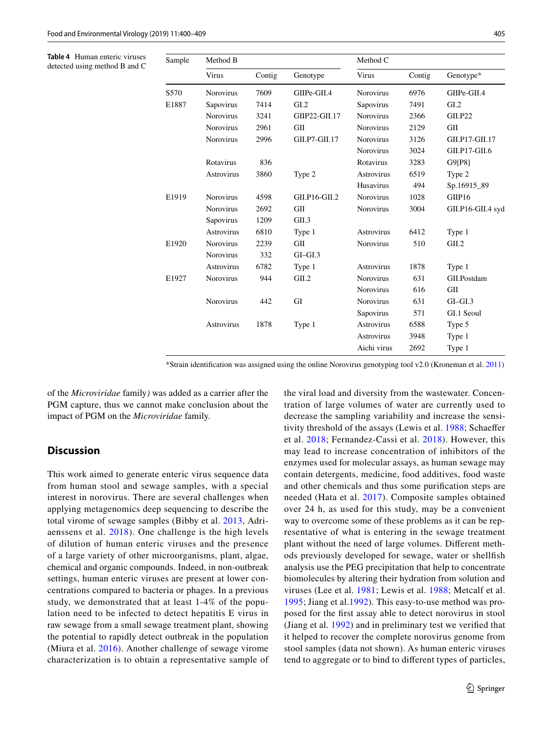<span id="page-5-0"></span>**Table 4** Human enteric viruses detected using method B and C

| Sample | Method B          |        |               | Method C          |        |                   |
|--------|-------------------|--------|---------------|-------------------|--------|-------------------|
|        | Virus             | Contig | Genotype      | Virus             | Contig | Genotype*         |
| S570   | <b>Norovirus</b>  | 7609   | GIIPe-GII.4   | <b>Norovirus</b>  | 6976   | GIIPe-GII.4       |
| E1887  | Sapovirus         | 7414   | GL2           | Sapovirus         | 7491   | GL2               |
|        | <b>Norovirus</b>  | 3241   | GIIP22-GII.17 | <b>Norovirus</b>  | 2366   | <b>GII.P22</b>    |
|        | <b>Norovirus</b>  | 2961   | GII           | <b>Norovirus</b>  | 2129   | GII               |
|        | <b>Norovirus</b>  | 2996   | GII.P7-GII.17 | <b>Norovirus</b>  | 3126   | GII.P17-GII.17    |
|        |                   |        |               | <b>Norovirus</b>  | 3024   | $GII.P17-GII.6$   |
|        | Rotavirus         | 836    |               | Rotavirus         | 3283   | G9[P8]            |
|        | Astrovirus        | 3860   | Type 2        | Astrovirus        | 6519   | Type 2            |
|        |                   |        |               | Husavirus         | 494    | Sp.16915_89       |
| E1919  | <b>Norovirus</b>  | 4598   | GII.P16-GII.2 | <b>Norovirus</b>  | 1028   | GIIP16            |
|        | <b>Norovirus</b>  | 2692   | GII           | <b>Norovirus</b>  | 3004   | GII.P16-GII.4 syd |
|        | Sapovirus         | 1209   | GII.3         |                   |        |                   |
|        | Astrovirus        | 6810   | Type 1        | <b>Astrovirus</b> | 6412   | Type 1            |
| E1920  | <b>Norovirus</b>  | 2239   | GII           | <b>Norovirus</b>  | 510    | GII.2             |
|        | <b>Norovirus</b>  | 332    | $GI-GI.3$     |                   |        |                   |
|        | Astrovirus        | 6782   | Type 1        | <b>Astrovirus</b> | 1878   | Type 1            |
| E1927  | Norovirus         | 944    | GII.2         | <b>Norovirus</b>  | 631    | GII.Postdam       |
|        |                   |        |               | <b>Norovirus</b>  | 616    | GII               |
|        | <b>Norovirus</b>  | 442    | GI            | <b>Norovirus</b>  | 631    | $GI-GI.3$         |
|        |                   |        |               | Sapovirus         | 571    | GI.1 Seoul        |
|        | <b>Astrovirus</b> | 1878   | Type 1        | <b>Astrovirus</b> | 6588   | Type 5            |
|        |                   |        |               | <b>Astrovirus</b> | 3948   | Type 1            |
|        |                   |        |               | Aichi virus       | 2692   | Type 1            |

\*Strain identifcation was assigned using the online Norovirus genotyping tool v2.0 (Kroneman et al. [2011](#page-8-17))

of the *Microviridae* family*)* was added as a carrier after the PGM capture, thus we cannot make conclusion about the impact of PGM on the *Microviridae* family.

# **Discussion**

This work aimed to generate enteric virus sequence data from human stool and sewage samples, with a special interest in norovirus. There are several challenges when applying metagenomics deep sequencing to describe the total virome of sewage samples (Bibby et al. [2013](#page-8-18), Adriaenssens et al. [2018\)](#page-8-6). One challenge is the high levels of dilution of human enteric viruses and the presence of a large variety of other microorganisms, plant, algae, chemical and organic compounds. Indeed, in non-outbreak settings, human enteric viruses are present at lower concentrations compared to bacteria or phages. In a previous study, we demonstrated that at least 1-4% of the population need to be infected to detect hepatitis E virus in raw sewage from a small sewage treatment plant, showing the potential to rapidly detect outbreak in the population (Miura et al. [2016\)](#page-9-9). Another challenge of sewage virome characterization is to obtain a representative sample of the viral load and diversity from the wastewater. Concentration of large volumes of water are currently used to decrease the sampling variability and increase the sensitivity threshold of the assays (Lewis et al. [1988](#page-8-12); Schaefer et al. [2018](#page-9-4); Fernandez-Cassi et al. [2018](#page-8-0)). However, this may lead to increase concentration of inhibitors of the enzymes used for molecular assays, as human sewage may contain detergents, medicine, food additives, food waste and other chemicals and thus some purifcation steps are needed (Hata et al. [2017\)](#page-8-19). Composite samples obtained over 24 h, as used for this study, may be a convenient way to overcome some of these problems as it can be representative of what is entering in the sewage treatment plant without the need of large volumes. Diferent methods previously developed for sewage, water or shellfsh analysis use the PEG precipitation that help to concentrate biomolecules by altering their hydration from solution and viruses (Lee et al. [1981;](#page-8-20) Lewis et al. [1988;](#page-8-12) Metcalf et al. [1995;](#page-8-2) Jiang et al[.1992\)](#page-8-21). This easy-to-use method was proposed for the frst assay able to detect norovirus in stool (Jiang et al. [1992](#page-8-21)) and in preliminary test we verifed that it helped to recover the complete norovirus genome from stool samples (data not shown). As human enteric viruses tend to aggregate or to bind to diferent types of particles,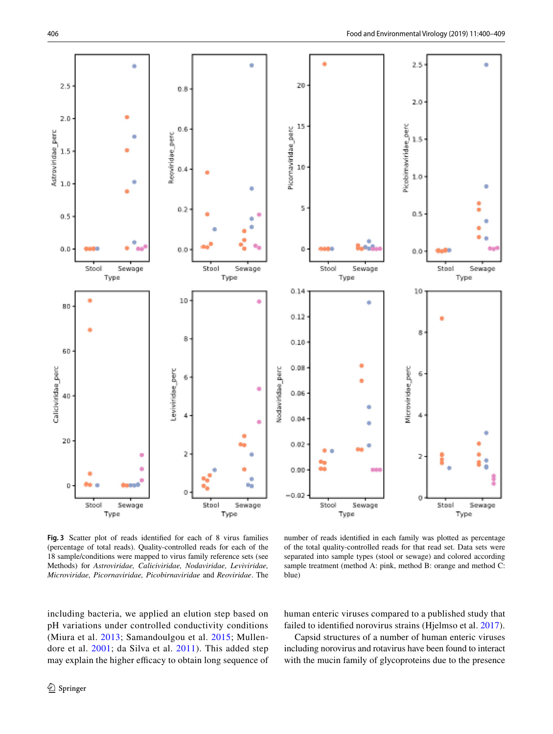

<span id="page-6-0"></span>**Fig. 3** Scatter plot of reads identifed for each of 8 virus families (percentage of total reads). Quality-controlled reads for each of the 18 sample/conditions were mapped to virus family reference sets (see Methods) for *Astroviridae, Caliciviridae, Nodaviridae, Leviviridae, Microviridae, Picornaviridae, Picobirnaviridae* and *Reoviridae*. The

number of reads identifed in each family was plotted as percentage of the total quality-controlled reads for that read set. Data sets were separated into sample types (stool or sewage) and colored according sample treatment (method A: pink, method B: orange and method C: blue)

including bacteria, we applied an elution step based on pH variations under controlled conductivity conditions (Miura et al. [2013;](#page-9-10) Samandoulgou et al. [2015;](#page-9-11) Mullendore et al. [2001;](#page-9-5) da Silva et al. [2011](#page-8-22)). This added step may explain the higher efficacy to obtain long sequence of human enteric viruses compared to a published study that failed to identifed norovirus strains (Hjelmso et al. [2017](#page-8-23)).

Capsid structures of a number of human enteric viruses including norovirus and rotavirus have been found to interact with the mucin family of glycoproteins due to the presence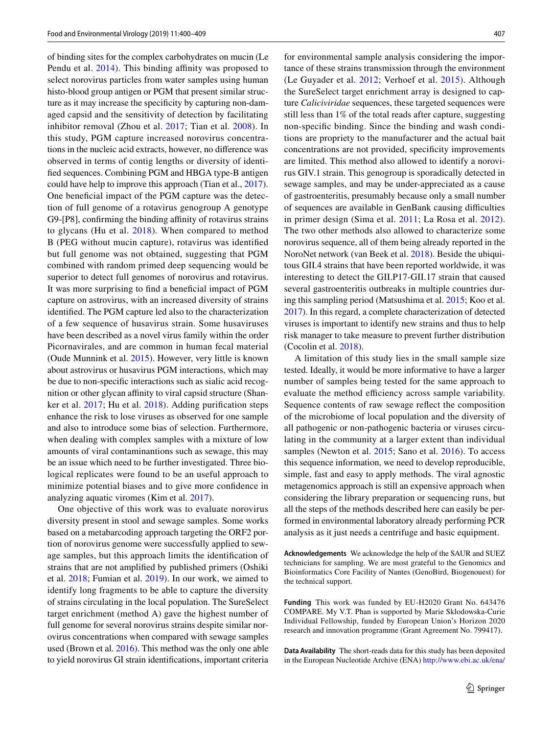of binding sites for the complex carbohydrates on mucin (Le Pendu et al. [2014\)](#page-8-24). This binding affinity was proposed to select norovirus particles from water samples using human histo-blood group antigen or PGM that present similar structure as it may increase the specificity by capturing non-damaged capsid and the sensitivity of detection by facilitating inhibitor removal (Zhou et al. [2017](#page-9-12); Tian et al. [2008](#page-9-6)). In this study, PGM capture increased norovirus concentrations in the nucleic acid extracts, however, no diference was observed in terms of contig lengths or diversity of identifed sequences. Combining PGM and HBGA type-B antigen could have help to improve this approach (Tian et al., [2017](#page-9-13)). One beneficial impact of the PGM capture was the detection of full genome of a rotavirus genogroup A genotype G9-[P8], confirming the binding affinity of rotavirus strains to glycans (Hu et al. [2018\)](#page-8-25). When compared to method B (PEG without mucin capture), rotavirus was identifed but full genome was not obtained, suggesting that PGM combined with random primed deep sequencing would be superior to detect full genomes of norovirus and rotavirus. It was more surprising to find a beneficial impact of PGM capture on astrovirus, with an increased diversity of strains identifed. The PGM capture led also to the characterization of a few sequence of husavirus strain. Some husaviruses have been described as a novel virus family within the order Picornavirales, and are common in human fecal material (Oude Munnink et al. [2015](#page-9-14)). However, very little is known about astrovirus or husavirus PGM interactions, which may be due to non-specifc interactions such as sialic acid recognition or other glycan affinity to viral capsid structure (Shanker et al. [2017;](#page-9-15) Hu et al. [2018\)](#page-8-25). Adding purifcation steps enhance the risk to lose viruses as observed for one sample and also to introduce some bias of selection. Furthermore, when dealing with complex samples with a mixture of low amounts of viral contaminantions such as sewage, this may be an issue which need to be further investigated. Three biological replicates were found to be an useful approach to minimize potential biases and to give more confdence in analyzing aquatic viromes (Kim et al. [2017\)](#page-8-7).

One objective of this work was to evaluate norovirus diversity present in stool and sewage samples. Some works based on a metabarcoding approach targeting the ORF2 portion of norovirus genome were successfully applied to sewage samples, but this approach limits the identifcation of strains that are not amplifed by published primers (Oshiki et al. [2018](#page-9-16); Fumian et al. [2019\)](#page-8-26). In our work, we aimed to identify long fragments to be able to capture the diversity of strains circulating in the local population. The SureSelect target enrichment (method A) gave the highest number of full genome for several norovirus strains despite similar norovirus concentrations when compared with sewage samples used (Brown et al. [2016\)](#page-8-13). This method was the only one able to yield norovirus GI strain identifcations, important criteria for environmental sample analysis considering the importance of these strains transmission through the environment (Le Guyader et al. [2012;](#page-8-27) Verhoef et al. [2015\)](#page-9-17). Although the SureSelect target enrichment array is designed to capture *Caliciviridae* sequences, these targeted sequences were still less than 1% of the total reads after capture, suggesting non-specifc binding. Since the binding and wash conditions are propriety to the manufacturer and the actual bait concentrations are not provided, specifcity improvements are limited. This method also allowed to identify a norovirus GIV.1 strain. This genogroup is sporadically detected in sewage samples, and may be under-appreciated as a cause of gastroenteritis, presumably because only a small number of sequences are available in GenBank causing difculties in primer design (Sima et al. [2011](#page-9-18); La Rosa et al. [2012](#page-8-28)). The two other methods also allowed to characterize some norovirus sequence, all of them being already reported in the NoroNet network (van Beek et al. [2018\)](#page-9-19). Beside the ubiquitous GII.4 strains that have been reported worldwide, it was interesting to detect the GII.P17-GII.17 strain that caused several gastroenteritis outbreaks in multiple countries during this sampling period (Matsushima et al. [2015;](#page-8-29) Koo et al. [2017\)](#page-8-30). In this regard, a complete characterization of detected viruses is important to identify new strains and thus to help risk manager to take measure to prevent further distribution (Cocolin et al. [2018](#page-8-31)).

A limitation of this study lies in the small sample size tested. Ideally, it would be more informative to have a larger number of samples being tested for the same approach to evaluate the method efficiency across sample variability. Sequence contents of raw sewage refect the composition of the microbiome of local population and the diversity of all pathogenic or non-pathogenic bacteria or viruses circulating in the community at a larger extent than individual samples (Newton et al. [2015](#page-9-20); Sano et al. [2016\)](#page-9-0). To access this sequence information, we need to develop reproducible, simple, fast and easy to apply methods. The viral agnostic metagenomics approach is still an expensive approach when considering the library preparation or sequencing runs, but all the steps of the methods described here can easily be performed in environmental laboratory already performing PCR analysis as it just needs a centrifuge and basic equipment.

**Acknowledgements** We acknowledge the help of the SAUR and SUEZ technicians for sampling. We are most grateful to the Genomics and Bioinformatics Core Facility of Nantes (GenoBird, Biogenouest) for the technical support.

**Funding** This work was funded by EU-H2020 Grant No. 643476 COMPARE. My V.T. Phan is supported by Marie Sklodowska-Curie Individual Fellowship, funded by European Union's Horizon 2020 research and innovation programme (Grant Agreement No. 799417).

**Data Availability** The short-reads data for this study has been deposited in the European Nucleotide Archive (ENA) [http://www.ebi.ac.uk/ena/](http://www.ebi.ac.uk/ena/data/view/PRJEB31600)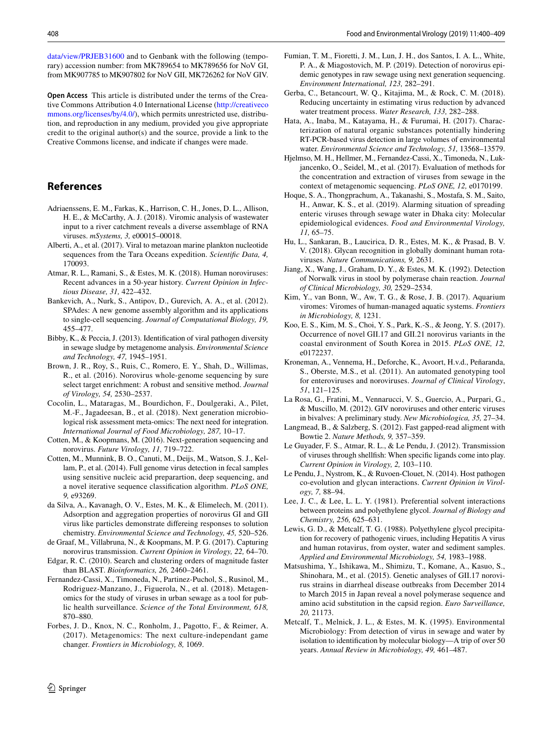[data/view/PRJEB31600](http://www.ebi.ac.uk/ena/data/view/PRJEB31600) and to Genbank with the following (temporary) accession number: from MK789654 to MK789656 for NoV GI, from MK907785 to MK907802 for NoV GII, MK726262 for NoV GIV.

**Open Access** This article is distributed under the terms of the Creative Commons Attribution 4.0 International License [\(http://creativeco](http://creativecommons.org/licenses/by/4.0/) [mmons.org/licenses/by/4.0/](http://creativecommons.org/licenses/by/4.0/)), which permits unrestricted use, distribution, and reproduction in any medium, provided you give appropriate credit to the original author(s) and the source, provide a link to the Creative Commons license, and indicate if changes were made.

# **References**

- <span id="page-8-6"></span>Adriaenssens, E. M., Farkas, K., Harrison, C. H., Jones, D. L., Allison, H. E., & McCarthy, A. J. (2018). Viromic analysis of wastewater input to a river catchment reveals a diverse assemblage of RNA viruses. *mSystems, 3,* e00015–00018.
- <span id="page-8-9"></span>Alberti, A., et al. (2017). Viral to metazoan marine plankton nucleotide sequences from the Tara Oceans expedition. *Scientifc Data, 4,* 170093.
- <span id="page-8-11"></span>Atmar, R. L., Ramani, S., & Estes, M. K. (2018). Human noroviruses: Recent advances in a 50-year history. *Current Opinion in Infectious Disease, 31,* 422–432.
- <span id="page-8-14"></span>Bankevich, A., Nurk, S., Antipov, D., Gurevich, A. A., et al. (2012). SPAdes: A new genome assembly algorithm and its applications to single-cell sequencing. *Journal of Computational Biology, 19,* 455–477.
- <span id="page-8-18"></span>Bibby, K., & Peccia, J. (2013). Identifcation of viral pathogen diversity in sewage sludge by metagenome analysis. *Environmental Science and Technology, 47,* 1945–1951.
- <span id="page-8-13"></span>Brown, J. R., Roy, S., Ruis, C., Romero, E. Y., Shah, D., Willimas, R., et al. (2016). Norovirus whole-genome sequencing by sure select target enrichment: A robust and sensitive method. *Journal of Virology, 54,* 2530–2537.
- <span id="page-8-31"></span>Cocolin, L., Mataragas, M., Bourdichon, F., Doulgeraki, A., Pilet, M.-F., Jagadeesan, B., et al. (2018). Next generation microbiological risk assessment meta-omics: The next need for integration. *International Journal of Food Microbiology, 287,* 10–17.
- <span id="page-8-5"></span>Cotten, M., & Koopmans, M. (2016). Next-generation sequencing and norovirus. *Future Virology, 11,* 719–722.
- <span id="page-8-8"></span>Cotten, M., Munnink, B. O., Canuti, M., Deijs, M., Watson, S. J., Kellam, P., et al. (2014). Full genome virus detection in fecal samples using sensitive nucleic acid preparartion, deep sequencing, and a novel iterative sequence classifcation algorithm. *PLoS ONE, 9,* e93269.
- <span id="page-8-22"></span>da Silva, A., Kavanagh, O. V., Estes, M. K., & Elimelech, M. (2011). Adsorption and aggregation properties of norovirus GI and GII virus like particles demonstrate difereing responses to solution chemistry. *Environmental Science and Technology, 45,* 520–526.
- <span id="page-8-10"></span>de Graaf, M., Villabruna, N., & Koopmans, M. P. G. (2017). Capturing norovirus transmission. *Current Opinion in Virology, 22,* 64–70.
- <span id="page-8-15"></span>Edgar, R. C. (2010). Search and clustering orders of magnitude faster than BLAST. *Bioinformatics, 26,* 2460–2461.
- <span id="page-8-0"></span>Fernandez-Cassi, X., Timoneda, N., Partinez-Puchol, S., Rusinol, M., Rodriguez-Manzano, J., Figuerola, N., et al. (2018). Metagenomics for the study of viruses in urban sewage as a tool for public health surveillance. *Science of the Total Environment, 618,* 870–880.
- <span id="page-8-4"></span>Forbes, J. D., Knox, N. C., Ronholm, J., Pagotto, F., & Reimer, A. (2017). Metagenomics: The next culture-independant game changer. *Frontiers in Microbiology, 8,* 1069.
- <span id="page-8-26"></span>Fumian, T. M., Fioretti, J. M., Lun, J. H., dos Santos, I. A. L., White, P. A., & Miagostovich, M. P. (2019). Detection of norovirus epidemic genotypes in raw sewage using next generation sequencing. *Environment International, 123,* 282–291.
- <span id="page-8-3"></span>Gerba, C., Betancourt, W. Q., Kitajima, M., & Rock, C. M. (2018). Reducing uncertainty in estimating virus reduction by advanced water treatment process. *Water Research, 133,* 282–288.
- <span id="page-8-19"></span>Hata, A., Inaba, M., Katayama, H., & Furumai, H. (2017). Characterization of natural organic substances potentially hindering RT-PCR-based virus detection in large volumes of environmental water. *Environmental Science and Technology, 51,* 13568–13579.
- <span id="page-8-23"></span>Hjelmso, M. H., Hellmer, M., Fernandez-Cassi, X., Timoneda, N., Lukjancenko, O., Seidel, M., et al. (2017). Evaluation of methods for the concentration and extraction of viruses from sewage in the context of metagenomic sequencing. *PLoS ONE, 12,* e0170199.
- <span id="page-8-1"></span>Hoque, S. A., Thongprachum, A., Takanashi, S., Mostafa, S. M., Saito, H., Anwar, K. S., et al. (2019). Alarming situation of spreading enteric viruses through sewage water in Dhaka city: Molecular epidemiological evidences. *Food and Environmental Virology, 11,* 65–75.
- <span id="page-8-25"></span>Hu, L., Sankaran, B., Laucirica, D. R., Estes, M. K., & Prasad, B. V. V. (2018). Glycan recognition in globally dominant human rotaviruses. *Nature Communications, 9,* 2631.
- <span id="page-8-21"></span>Jiang, X., Wang, J., Graham, D. Y., & Estes, M. K. (1992). Detection of Norwalk virus in stool by polymerase chain reaction. *Journal of Clinical Microbiology, 30,* 2529–2534.
- <span id="page-8-7"></span>Kim, Y., van Bonn, W., Aw, T. G., & Rose, J. B. (2017). Aquarium viromes: Viromes of human-managed aquatic systems. *Frontiers in Microbiology, 8,* 1231.
- <span id="page-8-30"></span>Koo, E. S., Kim, M. S., Choi, Y. S., Park, K.-S., & Jeong, Y. S. (2017). Occurrence of novel GII.17 and GII.21 norovirus variants in the coastal environment of South Korea in 2015. *PLoS ONE, 12,* e0172237.
- <span id="page-8-17"></span>Kroneman, A., Vennema, H., Deforche, K., Avoort, H.v.d., Peñaranda, S., Oberste, M.S., et al. (2011). An automated genotyping tool for enteroviruses and noroviruses. *Journal of Clinical Virology*, *51*, 121–125.
- <span id="page-8-28"></span>La Rosa, G., Fratini, M., Vennarucci, V. S., Guercio, A., Purpari, G., & Muscillo, M. (2012). GIV noroviruses and other enteric viruses in bivalves: A preliminary study. *New Microbiologica, 35,* 27–34.
- <span id="page-8-16"></span>Langmead, B., & Salzberg, S. (2012). Fast gapped-read aligment with Bowtie 2. *Nature Methods, 9,* 357–359.
- <span id="page-8-27"></span>Le Guyader, F. S., Atmar, R. L., & Le Pendu, J. (2012). Transmission of viruses through shellfsh: When specifc ligands come into play. *Current Opinion in Virology, 2,* 103–110.
- <span id="page-8-24"></span>Le Pendu, J., Nystrom, K., & Ruvoen-Clouet, N. (2014). Host pathogen co-evolution and glycan interactions. *Current Opinion in Virology, 7,* 88–94.
- <span id="page-8-20"></span>Lee, J. C., & Lee, L. L. Y. (1981). Preferential solvent interactions between proteins and polyethylene glycol. *Journal of Biology and Chemistry, 256,* 625–631.
- <span id="page-8-12"></span>Lewis, G. D., & Metcalf, T. G. (1988). Polyethylene glycol precipitation for recovery of pathogenic virues, including Hepatitis A virus and human rotavirus, from oyster, water and sediment samples. *Applied and Environmental Microbiology, 54,* 1983–1988.
- <span id="page-8-29"></span>Matsushima, Y., Ishikawa, M., Shimizu, T., Komane, A., Kasuo, S., Shinohara, M., et al. (2015). Genetic analyses of GII.17 norovirus strains in diarrheal disease outbreaks from December 2014 to March 2015 in Japan reveal a novel polymerase sequence and amino acid substitution in the capsid region. *Euro Surveillance, 20,* 21173.
- <span id="page-8-2"></span>Metcalf, T., Melnick, J. L., & Estes, M. K. (1995). Environmental Microbiology: From detection of virus in sewage and water by isolation to identifcation by molecular biology—A trip of over 50 years. *Annual Review in Microbiology, 49,* 461–487.